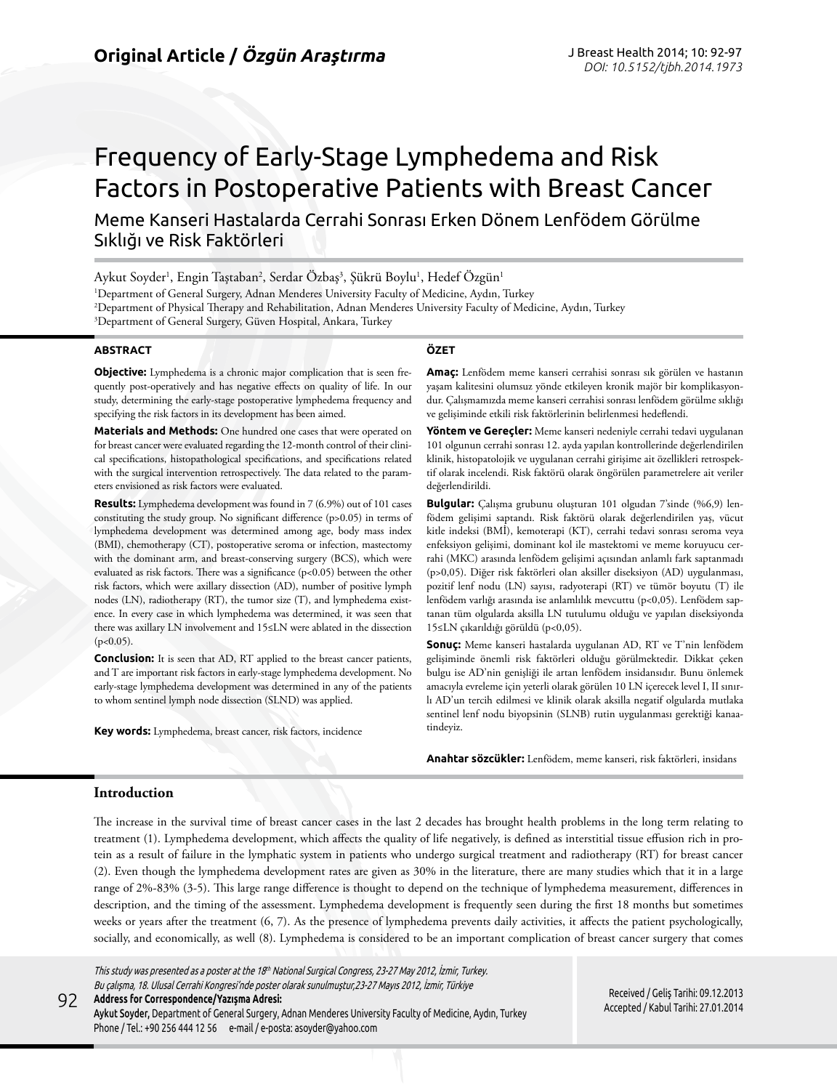# Frequency of Early-Stage Lymphedema and Risk Factors in Postoperative Patients with Breast Cancer

Meme Kanseri Hastalarda Cerrahi Sonrası Erken Dönem Lenfödem Görülme Sıklığı ve Risk Faktörleri

Aykut Soyder<sup>ı</sup>, Engin Taştaban<sup>2</sup>, Serdar Özbaş<sup>3</sup>, Şükrü Boylu<sup>1</sup>, Hedef Özgün<sup>1</sup>

1 Department of General Surgery, Adnan Menderes University Faculty of Medicine, Aydın, Turkey

2 Department of Physical Therapy and Rehabilitation, Adnan Menderes University Faculty of Medicine, Aydın, Turkey

3 Department of General Surgery, Güven Hospital, Ankara, Turkey

### **ABSTRACT**

**Objective:** Lymphedema is a chronic major complication that is seen frequently post-operatively and has negative effects on quality of life. In our study, determining the early-stage postoperative lymphedema frequency and specifying the risk factors in its development has been aimed.

**Materials and Methods:** One hundred one cases that were operated on for breast cancer were evaluated regarding the 12-month control of their clinical specifications, histopathological specifications, and specifications related with the surgical intervention retrospectively. The data related to the parameters envisioned as risk factors were evaluated.

**Results:** Lymphedema development was found in 7 (6.9%) out of 101 cases constituting the study group. No significant difference (p>0.05) in terms of lymphedema development was determined among age, body mass index (BMI), chemotherapy (CT), postoperative seroma or infection, mastectomy with the dominant arm, and breast-conserving surgery (BCS), which were evaluated as risk factors. There was a significance (p<0.05) between the other risk factors, which were axillary dissection (AD), number of positive lymph nodes (LN), radiotherapy (RT), the tumor size (T), and lymphedema existence. In every case in which lymphedema was determined, it was seen that there was axillary LN involvement and 15≤LN were ablated in the dissection  $(p<0.05)$ .

**Conclusion:** It is seen that AD, RT applied to the breast cancer patients, and T are important risk factors in early-stage lymphedema development. No early-stage lymphedema development was determined in any of the patients to whom sentinel lymph node dissection (SLND) was applied.

**Key words:** Lymphedema, breast cancer, risk factors, incidence

### **ÖZET**

**Amaç:** Lenfödem meme kanseri cerrahisi sonrası sık görülen ve hastanın yaşam kalitesini olumsuz yönde etkileyen kronik majör bir komplikasyondur. Çalışmamızda meme kanseri cerrahisi sonrası lenfödem görülme sıklığı ve gelişiminde etkili risk faktörlerinin belirlenmesi hedeflendi.

**Yöntem ve Gereçler:** Meme kanseri nedeniyle cerrahi tedavi uygulanan 101 olgunun cerrahi sonrası 12. ayda yapılan kontrollerinde değerlendirilen klinik, histopatolojik ve uygulanan cerrahi girişime ait özellikleri retrospektif olarak incelendi. Risk faktörü olarak öngörülen parametrelere ait veriler değerlendirildi.

**Bulgular:** Çalışma grubunu oluşturan 101 olgudan 7'sinde (%6,9) lenfödem gelişimi saptandı. Risk faktörü olarak değerlendirilen yaş, vücut kitle indeksi (BMİ), kemoterapi (KT), cerrahi tedavi sonrası seroma veya enfeksiyon gelişimi, dominant kol ile mastektomi ve meme koruyucu cerrahi (MKC) arasında lenfödem gelişimi açısından anlamlı fark saptanmadı (p>0,05). Diğer risk faktörleri olan aksiller diseksiyon (AD) uygulanması, pozitif lenf nodu (LN) sayısı, radyoterapi (RT) ve tümör boyutu (T) ile lenfödem varlığı arasında ise anlamlılık mevcuttu (p<0,05). Lenfödem saptanan tüm olgularda aksilla LN tutulumu olduğu ve yapılan diseksiyonda 15≤LN çıkarıldığı görüldü (p<0,05).

**Sonuç:** Meme kanseri hastalarda uygulanan AD, RT ve T'nin lenfödem gelişiminde önemli risk faktörleri olduğu görülmektedir. Dikkat çeken bulgu ise AD'nin genişliği ile artan lenfödem insidansıdır. Bunu önlemek amacıyla evreleme için yeterli olarak görülen 10 LN içerecek level I, II sınırlı AD'un tercih edilmesi ve klinik olarak aksilla negatif olgularda mutlaka sentinel lenf nodu biyopsinin (SLNB) rutin uygulanması gerektiği kanaatindeyiz.

**Anahtar sözcükler:** Lenfödem, meme kanseri, risk faktörleri, insidans

# **Introduction**

The increase in the survival time of breast cancer cases in the last 2 decades has brought health problems in the long term relating to treatment (1). Lymphedema development, which affects the quality of life negatively, is defined as interstitial tissue effusion rich in protein as a result of failure in the lymphatic system in patients who undergo surgical treatment and radiotherapy (RT) for breast cancer (2). Even though the lymphedema development rates are given as 30% in the literature, there are many studies which that it in a large range of 2%-83% (3-5). This large range difference is thought to depend on the technique of lymphedema measurement, differences in description, and the timing of the assessment. Lymphedema development is frequently seen during the first 18 months but sometimes weeks or years after the treatment (6, 7). As the presence of lymphedema prevents daily activities, it affects the patient psychologically, socially, and economically, as well (8). Lymphedema is considered to be an important complication of breast cancer surgery that comes

This study was presented as a poster at the 18th National Surgical Congress, 23-27 May 2012, İzmir, Turkey. Bu çalışma, 18. Ulusal Cerrahi Kongresi'nde poster olarak sunulmuştur,23-27 Mayıs 2012, İzmir, Türkiye

**Address for Correspondence/Yazışma Adresi:**  Aykut Soyder, Department of General Surgery, Adnan Menderes University Faculty of Medicine, Aydın, Turkey Received / Geliş Tarihi: 09.12.2013 92 Accepted / Kabul Tarihi: 27.01.2014 Phone / Tel.: +90 256 444 12 56 e-mail / e-posta: asoyder@yahoo.com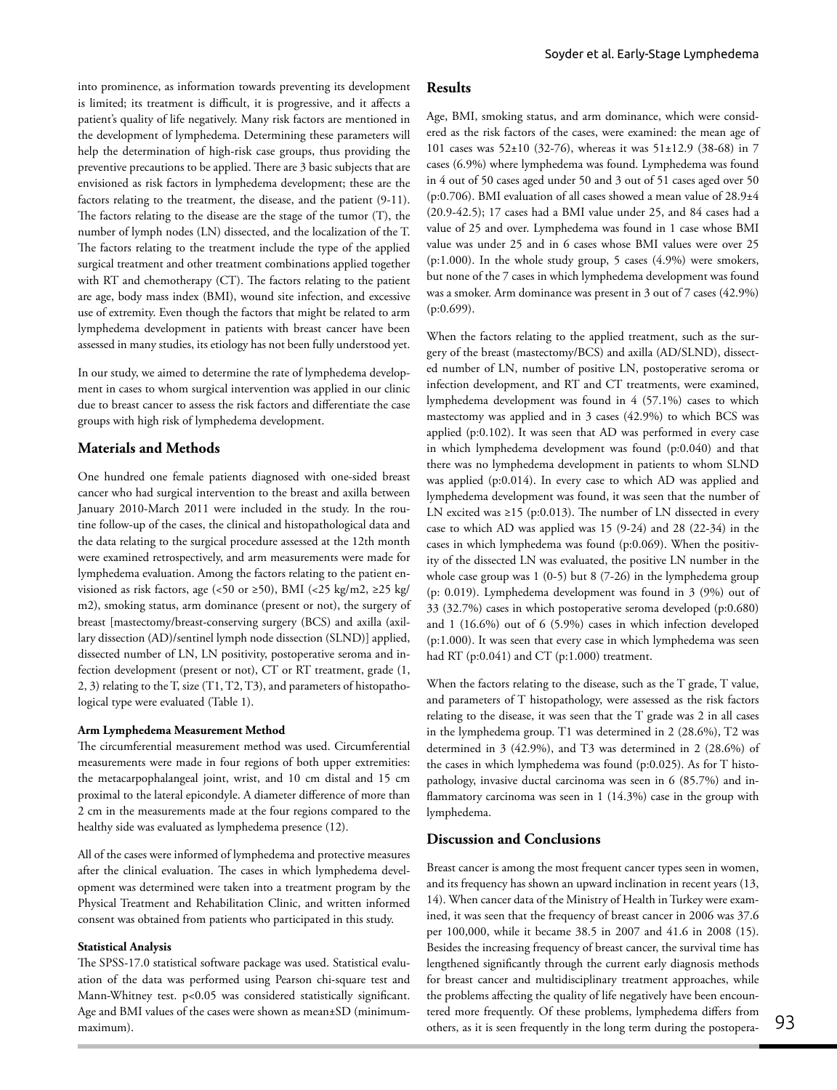into prominence, as information towards preventing its development is limited; its treatment is difficult, it is progressive, and it affects a patient's quality of life negatively. Many risk factors are mentioned in the development of lymphedema. Determining these parameters will help the determination of high-risk case groups, thus providing the preventive precautions to be applied. There are 3 basic subjects that are envisioned as risk factors in lymphedema development; these are the factors relating to the treatment, the disease, and the patient (9-11). The factors relating to the disease are the stage of the tumor (T), the number of lymph nodes (LN) dissected, and the localization of the T. The factors relating to the treatment include the type of the applied surgical treatment and other treatment combinations applied together with RT and chemotherapy (CT). The factors relating to the patient are age, body mass index (BMI), wound site infection, and excessive use of extremity. Even though the factors that might be related to arm lymphedema development in patients with breast cancer have been assessed in many studies, its etiology has not been fully understood yet.

In our study, we aimed to determine the rate of lymphedema development in cases to whom surgical intervention was applied in our clinic due to breast cancer to assess the risk factors and differentiate the case groups with high risk of lymphedema development.

# **Materials and Methods**

One hundred one female patients diagnosed with one-sided breast cancer who had surgical intervention to the breast and axilla between January 2010-March 2011 were included in the study. In the routine follow-up of the cases, the clinical and histopathological data and the data relating to the surgical procedure assessed at the 12th month were examined retrospectively, and arm measurements were made for lymphedema evaluation. Among the factors relating to the patient envisioned as risk factors, age (<50 or ≥50), BMI (<25 kg/m2, ≥25 kg/ m2), smoking status, arm dominance (present or not), the surgery of breast [mastectomy/breast-conserving surgery (BCS) and axilla (axillary dissection (AD)/sentinel lymph node dissection (SLND)] applied, dissected number of LN, LN positivity, postoperative seroma and infection development (present or not), CT or RT treatment, grade (1, 2, 3) relating to the T, size (T1, T2, T3), and parameters of histopathological type were evaluated (Table 1).

#### **Arm Lymphedema Measurement Method**

The circumferential measurement method was used. Circumferential measurements were made in four regions of both upper extremities: the metacarpophalangeal joint, wrist, and 10 cm distal and 15 cm proximal to the lateral epicondyle. A diameter difference of more than 2 cm in the measurements made at the four regions compared to the healthy side was evaluated as lymphedema presence (12).

All of the cases were informed of lymphedema and protective measures after the clinical evaluation. The cases in which lymphedema development was determined were taken into a treatment program by the Physical Treatment and Rehabilitation Clinic, and written informed consent was obtained from patients who participated in this study.

#### **Statistical Analysis**

The SPSS-17.0 statistical software package was used. Statistical evaluation of the data was performed using Pearson chi-square test and Mann-Whitney test. p<0.05 was considered statistically significant. Age and BMI values of the cases were shown as mean±SD (minimummaximum).

# **Results**

Age, BMI, smoking status, and arm dominance, which were considered as the risk factors of the cases, were examined: the mean age of 101 cases was 52±10 (32-76), whereas it was 51±12.9 (38-68) in 7 cases (6.9%) where lymphedema was found. Lymphedema was found in 4 out of 50 cases aged under 50 and 3 out of 51 cases aged over 50 (p:0.706). BMI evaluation of all cases showed a mean value of 28.9±4 (20.9-42.5); 17 cases had a BMI value under 25, and 84 cases had a value of 25 and over. Lymphedema was found in 1 case whose BMI value was under 25 and in 6 cases whose BMI values were over 25 (p:1.000). In the whole study group, 5 cases (4.9%) were smokers, but none of the 7 cases in which lymphedema development was found was a smoker. Arm dominance was present in 3 out of 7 cases (42.9%) (p:0.699).

When the factors relating to the applied treatment, such as the surgery of the breast (mastectomy/BCS) and axilla (AD/SLND), dissected number of LN, number of positive LN, postoperative seroma or infection development, and RT and CT treatments, were examined, lymphedema development was found in 4 (57.1%) cases to which mastectomy was applied and in 3 cases (42.9%) to which BCS was applied (p:0.102). It was seen that AD was performed in every case in which lymphedema development was found (p:0.040) and that there was no lymphedema development in patients to whom SLND was applied (p:0.014). In every case to which AD was applied and lymphedema development was found, it was seen that the number of LN excited was  $\geq$ 15 (p:0.013). The number of LN dissected in every case to which AD was applied was 15 (9-24) and 28 (22-34) in the cases in which lymphedema was found (p:0.069). When the positivity of the dissected LN was evaluated, the positive LN number in the whole case group was 1 (0-5) but 8 (7-26) in the lymphedema group (p: 0.019). Lymphedema development was found in 3 (9%) out of 33 (32.7%) cases in which postoperative seroma developed (p:0.680) and 1 (16.6%) out of 6 (5.9%) cases in which infection developed (p:1.000). It was seen that every case in which lymphedema was seen had RT (p:0.041) and CT (p:1.000) treatment.

When the factors relating to the disease, such as the T grade, T value, and parameters of T histopathology, were assessed as the risk factors relating to the disease, it was seen that the T grade was 2 in all cases in the lymphedema group. T1 was determined in 2 (28.6%), T2 was determined in 3 (42.9%), and T3 was determined in 2 (28.6%) of the cases in which lymphedema was found (p:0.025). As for T histopathology, invasive ductal carcinoma was seen in 6 (85.7%) and inflammatory carcinoma was seen in 1 (14.3%) case in the group with lymphedema.

# **Discussion and Conclusions**

Breast cancer is among the most frequent cancer types seen in women, and its frequency has shown an upward inclination in recent years (13, 14). When cancer data of the Ministry of Health in Turkey were examined, it was seen that the frequency of breast cancer in 2006 was 37.6 per 100,000, while it became 38.5 in 2007 and 41.6 in 2008 (15). Besides the increasing frequency of breast cancer, the survival time has lengthened significantly through the current early diagnosis methods for breast cancer and multidisciplinary treatment approaches, while the problems affecting the quality of life negatively have been encountered more frequently. Of these problems, lymphedema differs from others, as it is seen frequently in the long term during the postopera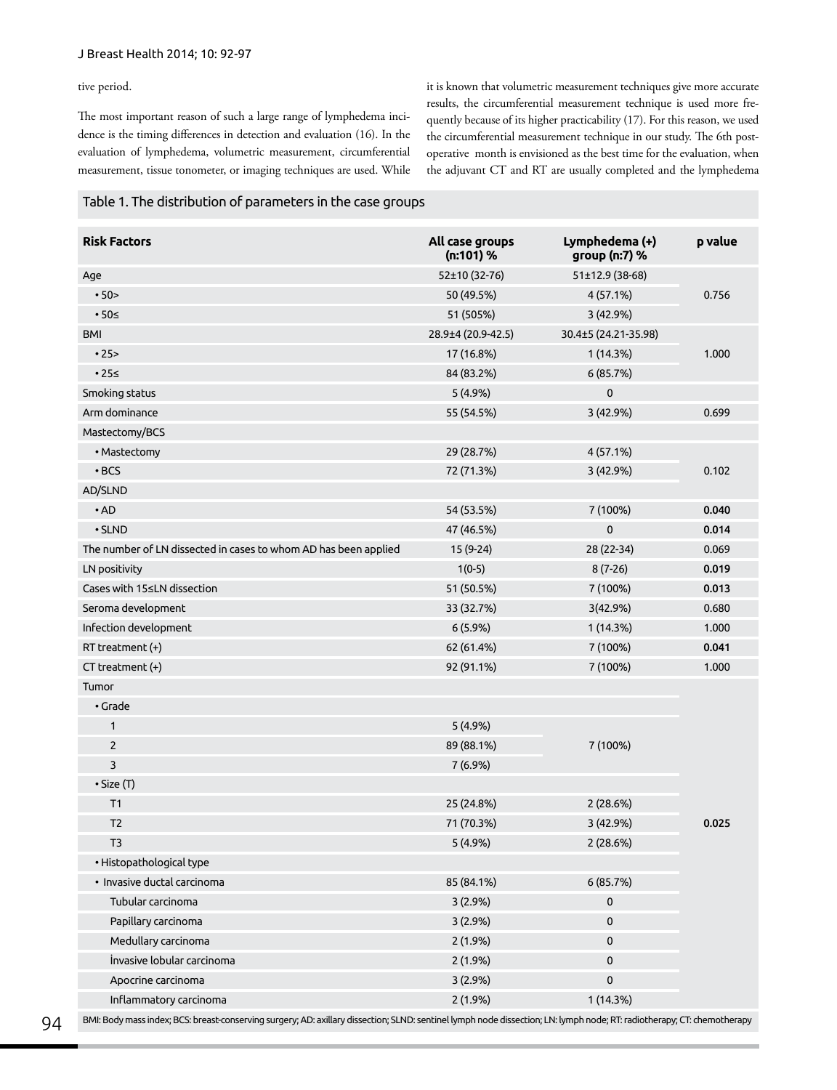tive period.

The most important reason of such a large range of lymphedema incidence is the timing differences in detection and evaluation (16). In the evaluation of lymphedema, volumetric measurement, circumferential measurement, tissue tonometer, or imaging techniques are used. While it is known that volumetric measurement techniques give more accurate results, the circumferential measurement technique is used more frequently because of its higher practicability (17). For this reason, we used the circumferential measurement technique in our study. The 6th postoperative month is envisioned as the best time for the evaluation, when the adjuvant CT and RT are usually completed and the lymphedema

## Table 1. The distribution of parameters in the case groups

| <b>Risk Factors</b>                                             | All case groups<br>$(n:101)$ % | Lymphedema (+)<br>group (n:7) % | p value |  |
|-----------------------------------------------------------------|--------------------------------|---------------------------------|---------|--|
| Age                                                             | 52±10 (32-76)                  | 51±12.9 (38-68)                 | 0.756   |  |
| •50>                                                            | 50 (49.5%)                     | 4(57.1%)                        |         |  |
| $\cdot$ 50 $\leq$                                               | 51 (505%)                      | 3(42.9%)                        |         |  |
| <b>BMI</b>                                                      | 28.9±4 (20.9-42.5)             | 30.4±5 (24.21-35.98)            | 1.000   |  |
| •25>                                                            | 17 (16.8%)                     | 1 (14.3%)                       |         |  |
| $\cdot$ 25 $\leq$                                               | 84 (83.2%)                     | 6 (85.7%)                       |         |  |
| Smoking status                                                  | 5 (4.9%)                       | $\pmb{0}$                       |         |  |
| Arm dominance                                                   | 55 (54.5%)                     | 3(42.9%)                        | 0.699   |  |
| Mastectomy/BCS                                                  |                                |                                 |         |  |
| · Mastectomy                                                    | 29 (28.7%)                     | 4 (57.1%)                       |         |  |
| $\cdot$ BCS                                                     | 72 (71.3%)                     | 3 (42.9%)                       | 0.102   |  |
| AD/SLND                                                         |                                |                                 |         |  |
| $\bullet$ AD                                                    | 54 (53.5%)                     | 7 (100%)                        | 0.040   |  |
| $\cdot$ SLND                                                    | 47 (46.5%)                     | $\mathbf 0$                     | 0.014   |  |
| The number of LN dissected in cases to whom AD has been applied | 15 (9-24)                      | 28 (22-34)                      | 0.069   |  |
| LN positivity                                                   | $1(0-5)$                       | $8(7-26)$                       | 0.019   |  |
| Cases with 15≤LN dissection                                     | 51 (50.5%)                     | 7 (100%)                        | 0.013   |  |
| Seroma development                                              | 33 (32.7%)                     | 3(42.9%)                        | 0.680   |  |
| Infection development                                           | 6 (5.9%)                       | 1 (14.3%)                       | 1.000   |  |
| RT treatment (+)                                                | 62 (61.4%)                     | 7 (100%)                        | 0.041   |  |
| CT treatment (+)                                                | 92 (91.1%)                     | 7 (100%)                        | 1.000   |  |
| Tumor                                                           |                                |                                 |         |  |
| • Grade                                                         |                                |                                 |         |  |
| $\mathbf{1}$                                                    | 5 (4.9%)                       |                                 |         |  |
| $\overline{c}$                                                  | 89 (88.1%)                     | 7 (100%)                        |         |  |
| 3                                                               | 7 (6.9%)                       |                                 |         |  |
| $\cdot$ Size (T)                                                |                                |                                 |         |  |
| T1                                                              | 25 (24.8%)                     | 2(28.6%)                        | 0.025   |  |
| T <sub>2</sub>                                                  | 71 (70.3%)                     | 3 (42.9%)                       |         |  |
| T <sub>3</sub>                                                  | 5 (4.9%)                       | 2 (28.6%)                       |         |  |
| · Histopathological type                                        |                                |                                 |         |  |
| · Invasive ductal carcinoma                                     | 85 (84.1%)                     | 6 (85.7%)                       |         |  |
| Tubular carcinoma                                               | 3(2.9%)                        | $\pmb{0}$                       |         |  |
| Papillary carcinoma                                             | 3 (2.9%)                       | 0                               |         |  |
| Medullary carcinoma                                             | $2(1.9\%)$                     | $\pmb{0}$                       |         |  |
| İnvasive lobular carcinoma                                      | $2(1.9\%)$                     | 0                               |         |  |
| Apocrine carcinoma                                              | 3(2.9%)                        | $\pmb{0}$                       |         |  |
| Inflammatory carcinoma                                          | 2 (1.9%)                       | 1 (14.3%)                       |         |  |
|                                                                 |                                |                                 |         |  |

BMI: Body mass index; BCS: breast-conserving surgery; AD: axillary dissection; SLND: sentinel lymph node dissection; LN: lymph node; RT: radiotherapy; CT: chemotherapy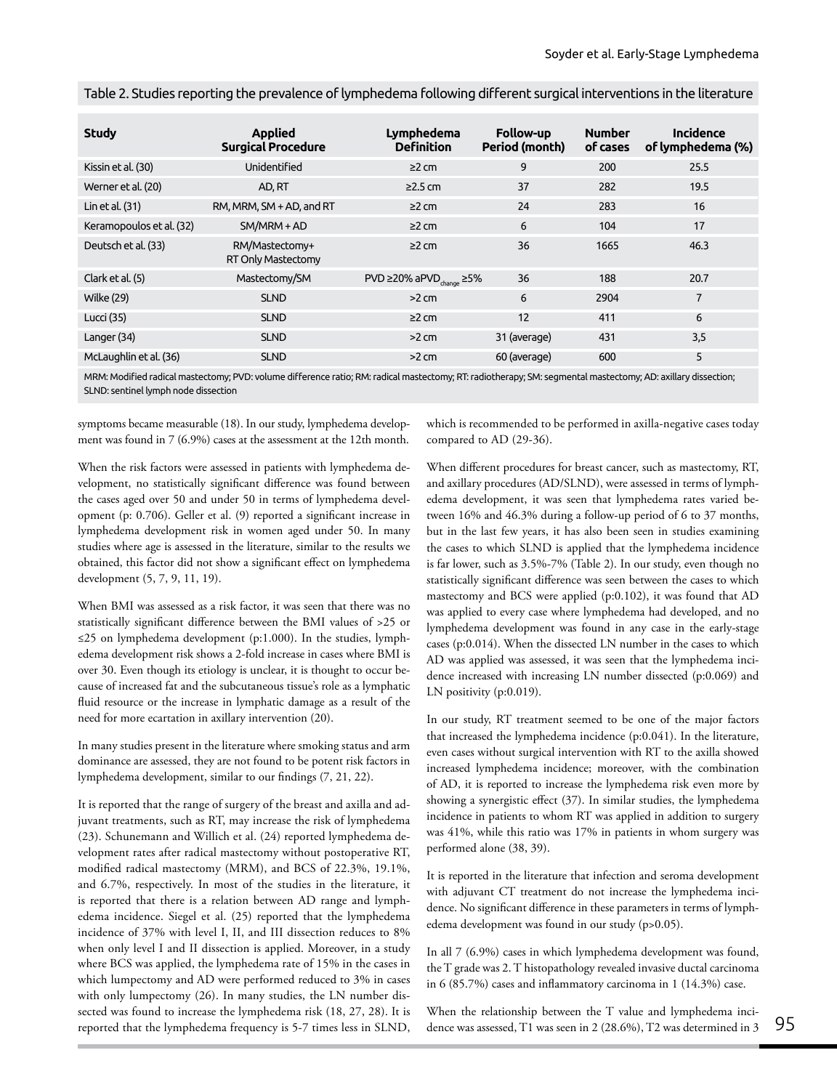| <b>Study</b>             | <b>Applied</b><br><b>Surgical Procedure</b> | Lymphedema<br><b>Definition</b>                 | <b>Follow-up</b><br>Period (month) | <b>Number</b><br>of cases | <b>Incidence</b><br>of lymphedema (%) |
|--------------------------|---------------------------------------------|-------------------------------------------------|------------------------------------|---------------------------|---------------------------------------|
| Kissin et al. (30)       | Unidentified                                | $\geq$ 2 cm                                     | 9                                  | 200                       | 25.5                                  |
| Werner et al. (20)       | AD, RT                                      | $\geq$ 2.5 cm                                   | 37                                 | 282                       | 19.5                                  |
| Lin et al. (31)          | RM, MRM, SM + AD, and RT                    | $\geq$ 2 cm                                     | 24                                 | 283                       | 16                                    |
| Keramopoulos et al. (32) | $SM/MRM + AD$                               | $\geq$ 2 cm                                     | 6                                  | 104                       | 17                                    |
| Deutsch et al. (33)      | RM/Mastectomy+<br>RT Only Mastectomy        | $\geq$ 2 cm                                     | 36                                 | 1665                      | 46.3                                  |
| Clark et al. (5)         | Mastectomy/SM                               | PVD $\geq$ 20% aPVD <sub>change</sub> $\geq$ 5% | 36                                 | 188                       | 20.7                                  |
| <b>Wilke (29)</b>        | <b>SLND</b>                                 | $>2$ cm                                         | 6                                  | 2904                      | 7                                     |
| Lucci (35)               | <b>SLND</b>                                 | $\geq$ 2 cm                                     | 12                                 | 411                       | 6                                     |
| Langer (34)              | <b>SLND</b>                                 | $>2$ cm                                         | 31 (average)                       | 431                       | 3,5                                   |
| McLaughlin et al. (36)   | <b>SLND</b>                                 | $>2$ cm                                         | 60 (average)                       | 600                       | 5                                     |

Table 2. Studies reporting the prevalence of lymphedema following different surgical interventions in the literature

MRM: Modified radical mastectomy; PVD: volume difference ratio; RM: radical mastectomy; RT: radiotherapy; SM: segmental mastectomy; AD: axillary dissection; SLND: sentinel lymph node dissection

symptoms became measurable (18). In our study, lymphedema development was found in 7 (6.9%) cases at the assessment at the 12th month.

When the risk factors were assessed in patients with lymphedema development, no statistically significant difference was found between the cases aged over 50 and under 50 in terms of lymphedema development (p: 0.706). Geller et al. (9) reported a significant increase in lymphedema development risk in women aged under 50. In many studies where age is assessed in the literature, similar to the results we obtained, this factor did not show a significant effect on lymphedema development (5, 7, 9, 11, 19).

When BMI was assessed as a risk factor, it was seen that there was no statistically significant difference between the BMI values of >25 or ≤25 on lymphedema development (p:1.000). In the studies, lymphedema development risk shows a 2-fold increase in cases where BMI is over 30. Even though its etiology is unclear, it is thought to occur because of increased fat and the subcutaneous tissue's role as a lymphatic fluid resource or the increase in lymphatic damage as a result of the need for more ecartation in axillary intervention (20).

In many studies present in the literature where smoking status and arm dominance are assessed, they are not found to be potent risk factors in lymphedema development, similar to our findings (7, 21, 22).

It is reported that the range of surgery of the breast and axilla and adjuvant treatments, such as RT, may increase the risk of lymphedema (23). Schunemann and Willich et al. (24) reported lymphedema development rates after radical mastectomy without postoperative RT, modified radical mastectomy (MRM), and BCS of 22.3%, 19.1%, and 6.7%, respectively. In most of the studies in the literature, it is reported that there is a relation between AD range and lymphedema incidence. Siegel et al. (25) reported that the lymphedema incidence of 37% with level I, II, and III dissection reduces to 8% when only level I and II dissection is applied. Moreover, in a study where BCS was applied, the lymphedema rate of 15% in the cases in which lumpectomy and AD were performed reduced to 3% in cases with only lumpectomy (26). In many studies, the LN number dissected was found to increase the lymphedema risk (18, 27, 28). It is reported that the lymphedema frequency is 5-7 times less in SLND,

which is recommended to be performed in axilla-negative cases today compared to AD (29-36).

When different procedures for breast cancer, such as mastectomy, RT, and axillary procedures (AD/SLND), were assessed in terms of lymphedema development, it was seen that lymphedema rates varied between 16% and 46.3% during a follow-up period of 6 to 37 months, but in the last few years, it has also been seen in studies examining the cases to which SLND is applied that the lymphedema incidence is far lower, such as 3.5%-7% (Table 2). In our study, even though no statistically significant difference was seen between the cases to which mastectomy and BCS were applied (p:0.102), it was found that AD was applied to every case where lymphedema had developed, and no lymphedema development was found in any case in the early-stage cases (p:0.014). When the dissected LN number in the cases to which AD was applied was assessed, it was seen that the lymphedema incidence increased with increasing LN number dissected (p:0.069) and LN positivity (p:0.019).

In our study, RT treatment seemed to be one of the major factors that increased the lymphedema incidence (p:0.041). In the literature, even cases without surgical intervention with RT to the axilla showed increased lymphedema incidence; moreover, with the combination of AD, it is reported to increase the lymphedema risk even more by showing a synergistic effect (37). In similar studies, the lymphedema incidence in patients to whom RT was applied in addition to surgery was 41%, while this ratio was 17% in patients in whom surgery was performed alone (38, 39).

It is reported in the literature that infection and seroma development with adjuvant CT treatment do not increase the lymphedema incidence. No significant difference in these parameters in terms of lymphedema development was found in our study (p>0.05).

In all 7 (6.9%) cases in which lymphedema development was found, the T grade was 2. T histopathology revealed invasive ductal carcinoma in 6 (85.7%) cases and inflammatory carcinoma in 1 (14.3%) case.

When the relationship between the T value and lymphedema incidence was assessed, T1 was seen in 2 (28.6%), T2 was determined in 3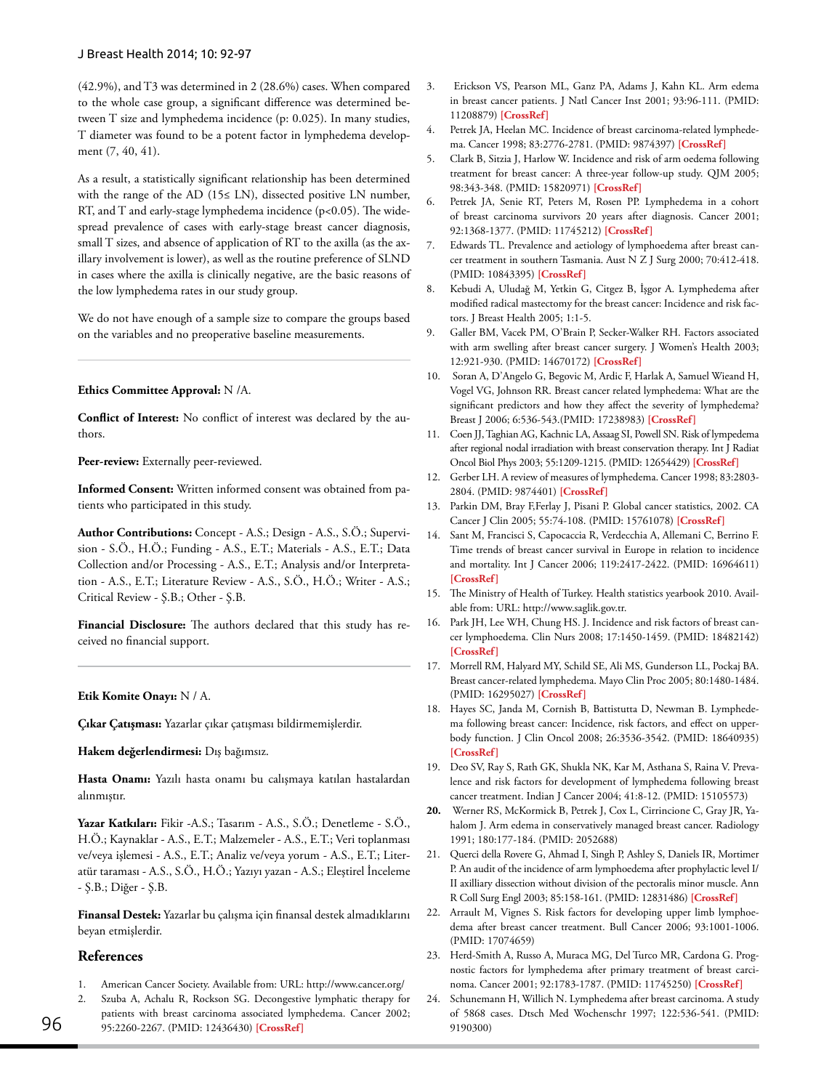### J Breast Health 2014; 10: 92-97

(42.9%), and T3 was determined in 2 (28.6%) cases. When compared to the whole case group, a significant difference was determined between T size and lymphedema incidence (p: 0.025). In many studies, T diameter was found to be a potent factor in lymphedema development (7, 40, 41).

As a result, a statistically significant relationship has been determined with the range of the AD (15≤ LN), dissected positive LN number, RT, and T and early-stage lymphedema incidence  $(p<0.05)$ . The widespread prevalence of cases with early-stage breast cancer diagnosis, small T sizes, and absence of application of RT to the axilla (as the axillary involvement is lower), as well as the routine preference of SLND in cases where the axilla is clinically negative, are the basic reasons of the low lymphedema rates in our study group.

We do not have enough of a sample size to compare the groups based on the variables and no preoperative baseline measurements.

## **Ethics Committee Approval:** N /A.

**Conflict of Interest:** No conflict of interest was declared by the authors.

### Peer-review: Externally peer-reviewed.

**Informed Consent:** Written informed consent was obtained from patients who participated in this study.

**Author Contributions:** Concept - A.S.; Design - A.S., S.Ö.; Supervision - S.Ö., H.Ö.; Funding - A.S., E.T.; Materials - A.S., E.T.; Data Collection and/or Processing - A.S., E.T.; Analysis and/or Interpretation - A.S., E.T.; Literature Review - A.S., S.Ö., H.Ö.; Writer - A.S.; Critical Review - Ş.B.; Other - Ş.B.

**Financial Disclosure:** The authors declared that this study has received no financial support.

**Etik Komite Onayı:** N / A.

**Çıkar Çatışması:** Yazarlar çıkar çatışması bildirmemişlerdir.

**Hakem değerlendirmesi:** Dış bağımsız.

**Hasta Onamı:** Yazılı hasta onamı bu calışmaya katılan hastalardan alınmıştır.

**Yazar Katkıları:** Fikir -A.S.; Tasarım - A.S., S.Ö.; Denetleme - S.Ö., H.Ö.; Kaynaklar - A.S., E.T.; Malzemeler - A.S., E.T.; Veri toplanması ve/veya işlemesi - A.S., E.T.; Analiz ve/veya yorum - A.S., E.T.; Literatür taraması - A.S., S.Ö., H.Ö.; Yazıyı yazan - A.S.; Eleştirel İnceleme - Ş.B.; Diğer - Ş.B.

**Finansal Destek:** Yazarlar bu çalışma için finansal destek almadıklarını beyan etmişlerdir.

# **References**

- 1. American Cancer Society. Available from: URL: http://www.cancer.org/
- Szuba A, Achalu R, Rockson SG. Decongestive lymphatic therapy for patients with breast carcinoma associated lymphedema. Cancer 2002; 95:2260-2267. (PMID: 12436430) **[[CrossRef\]](http://dx.doi.org/10.1002/cncr.10976)**
- 3. Erickson VS, Pearson ML, Ganz PA, Adams J, Kahn KL. Arm edema in breast cancer patients. J Natl Cancer Inst 2001; 93:96-111. (PMID: 11208879) **[\[CrossRef](http://dx.doi.org/10.1093/jnci/93.2.96)]**
- 4. Petrek JA, Heelan MC. Incidence of breast carcinoma-related lymphedema. Cancer 1998; 83:2776-2781. (PMID: 9874397) **[\[CrossRef](http://dx.doi.org/10.1002/(SICI)1097-0142(19981215)83:12B+<2776::AID-CNCR25>3.0.CO;2-V)]**
- 5. Clark B, Sitzia J, Harlow W. Incidence and risk of arm oedema following treatment for breast cancer: A three-year follow-up study. QJM 2005; 98:343-348. (PMID: 15820971) **[[CrossRef\]](http://dx.doi.org/10.1093/qjmed/hci053)**
- 6. Petrek JA, Senie RT, Peters M, Rosen PP. Lymphedema in a cohort of breast carcinoma survivors 20 years after diagnosis. Cancer 2001; 92:1368-1377. (PMID: 11745212) **[[CrossRef\]](http://dx.doi.org/10.1002/1097-0142(20010915)92:6<1368::AID-CNCR1459>3.0.CO;2-9)**
- 7. Edwards TL. Prevalence and aetiology of lymphoedema after breast cancer treatment in southern Tasmania. Aust N Z J Surg 2000; 70:412-418. (PMID: 10843395) **[\[CrossRef](http://dx.doi.org/10.1046/j.1440-1622.2000.01839.x)]**
- 8. Kebudi A, Uludağ M, Yetkin G, Citgez B, İşgor A. Lymphedema after modified radical mastectomy for the breast cancer: Incidence and risk factors. J Breast Health 2005; 1:1-5.
- 9. Galler BM, Vacek PM, O'Brain P, Secker-Walker RH. Factors associated with arm swelling after breast cancer surgery. J Women's Health 2003; 12:921-930. (PMID: 14670172) **[[CrossRef\]](http://dx.doi.org/10.1089/154099903770948159)**
- 10. Soran A, D'Angelo G, Begovic M, Ardic F, Harlak A, Samuel Wieand H, Vogel VG, Johnson RR. Breast cancer related lymphedema: What are the significant predictors and how they affect the severity of lymphedema? Breast J 2006; 6:536-543.(PMID: 17238983) **[\[CrossRef](http://dx.doi.org/10.1111/j.1524-4741.2006.00342.x)]**
- 11. Coen JJ, Taghian AG, Kachnic LA, Assaag SI, Powell SN. Risk of lympedema after regional nodal irradiation with breast conservation therapy. Int J Radiat Oncol Biol Phys 2003; 55:1209-1215. (PMID: 12654429) **[\[CrossRef\]](http://dx.doi.org/10.1016/S0360-3016(02)04273-6)**
- 12. Gerber LH. A review of measures of lymphedema. Cancer 1998; 83:2803- 2804. (PMID: 9874401) **[\[CrossRef](http://dx.doi.org/10.1002/(SICI)1097-0142(19981215)83:12B+<2803::AID-CNCR29>3.3.CO;2-N)]**
- 13. Parkin DM, Bray F,Ferlay J, Pisani P. Global cancer statistics, 2002. CA Cancer J Clin 2005; 55:74-108. (PMID: 15761078) **[\[CrossRef\]](http://dx.doi.org/10.3322/canjclin.55.2.74)**
- 14. Sant M, Francisci S, Capocaccia R, Verdecchia A, Allemani C, Berrino F. Time trends of breast cancer survival in Europe in relation to incidence and mortality. Int J Cancer 2006; 119:2417-2422. (PMID: 16964611) **[\[CrossRef\]](http://dx.doi.org/10.1002/ijc.22160)**
- 15. The Ministry of Health of Turkey. Health statistics yearbook 2010. Available from: URL: http://www.saglik.gov.tr.
- 16. Park JH, Lee WH, Chung HS. J. Incidence and risk factors of breast cancer lymphoedema. Clin Nurs 2008; 17:1450-1459. (PMID: 18482142) **[\[CrossRef\]](http://dx.doi.org/10.1111/j.1365-2702.2007.02187.x)**
- 17. Morrell RM, Halyard MY, Schild SE, Ali MS, Gunderson LL, Pockaj BA. Breast cancer-related lymphedema. Mayo Clin Proc 2005; 80:1480-1484. (PMID: 16295027) **[\[CrossRef](http://dx.doi.org/10.4065/80.11.1480)]**
- 18. Hayes SC, Janda M, Cornish B, Battistutta D, Newman B. Lymphedema following breast cancer: Incidence, risk factors, and effect on upperbody function. J Clin Oncol 2008; 26:3536-3542. (PMID: 18640935) **[\[CrossRef\]](http://dx.doi.org/10.1200/JCO.2007.14.4899)**
- 19. Deo SV, Ray S, Rath GK, Shukla NK, Kar M, Asthana S, Raina V. Prevalence and risk factors for development of lymphedema following breast cancer treatment. Indian J Cancer 2004; 41:8-12. (PMID: 15105573)
- **20.** Werner RS, McKormick B, Petrek J, Cox L, Cirrincione C, Gray JR, Yahalom J. Arm edema in conservatively managed breast cancer. Radiology 1991; 180:177-184. (PMID: 2052688)
- 21. Querci della Rovere G, Ahmad I, Singh P, Ashley S, Daniels IR, Mortimer P. An audit of the incidence of arm lymphoedema after prophylactic level I/ II axilliary dissection without division of the pectoralis minor muscle. Ann R Coll Surg Engl 2003; 85:158-161. (PMID: 12831486) **[\[CrossRef](http://dx.doi.org/10.1308/003588403321661299)]**
- 22. Arrault M, Vignes S. Risk factors for developing upper limb lymphoedema after breast cancer treatment. Bull Cancer 2006; 93:1001-1006. (PMID: 17074659)
- 23. Herd-Smith A, Russo A, Muraca MG, Del Turco MR, Cardona G. Prognostic factors for lymphedema after primary treatment of breast carcinoma. Cancer 2001; 92:1783-1787. (PMID: 11745250) **[\[CrossRef\]](http://dx.doi.org/10.1002/1097-0142(20011001)92:7<1783::AID-CNCR1694>3.0.CO;2-G)**
- 24. Schunemann H, Willich N. Lymphedema after breast carcinoma. A study of 5868 cases. Dtsch Med Wochenschr 1997; 122:536-541. (PMID: 9190300)